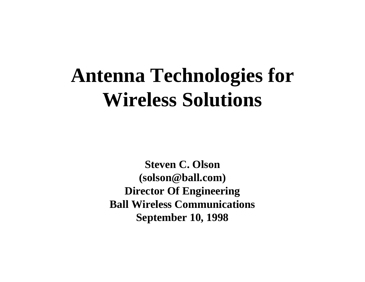# **Antenna Technologies for Wireless Solutions**

**Steven C. Olson (solson@ball.com) Director Of Engineering Ball Wireless Communications September 10, 1998**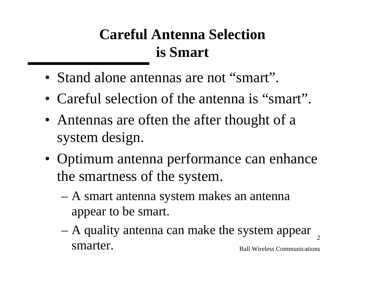## **Careful Antenna Selection is Smart**

- Stand alone antennas are not "smart".
- Careful selection of the antenna is "smart".
- Antennas are often the after thought of a system design.
- Optimum antenna performance can enhance the smartness of the system.
	- A smart antenna system makes an antenna appear to be smart.
	- Ball Wireless Communications 2 – A quality antenna can make the system appear smarter.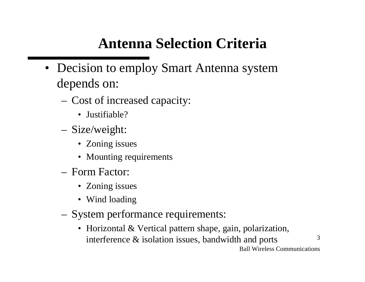### **Antenna Selection Criteria**

- Decision to employ Smart Antenna system depends on:
	- Cost of increased capacity:
		- Justifiable?
	- Size/weight:
		- Zoning issues
		- Mounting requirements
	- Form Factor:
		- Zoning issues
		- Wind loading
	- System performance requirements:
		- Horizontal & Vertical pattern shape, gain, polarization, interference & isolation issues, bandwidth and ports

Ball Wireless Communications

3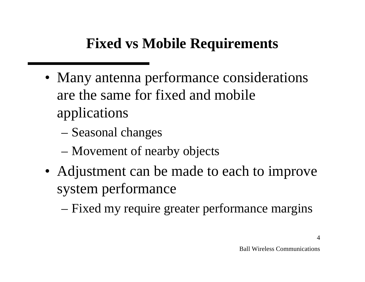### **Fixed vs Mobile Requirements**

- Many antenna performance considerations are the same for fixed and mobile applications
	- Seasonal changes
	- Movement of nearby objects
- Adjustment can be made to each to improve system performance
	- Fixed my require greater performance margins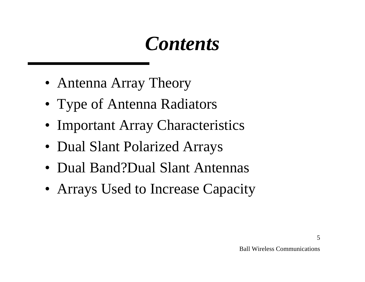# *Contents*

- Antenna Array Theory
- Type of Antenna Radiators
- Important Array Characteristics
- Dual Slant Polarized Arrays
- Dual Band?Dual Slant Antennas
- Arrays Used to Increase Capacity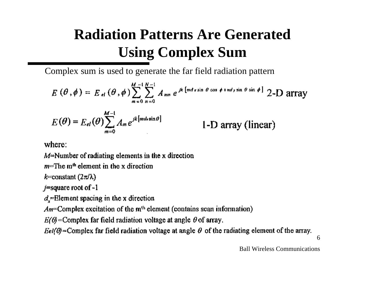## **Radiation Patterns Are Generated Using Complex Sum**

Complex sum is used to generate the far field radiation pattern

 $E(\theta, \phi) = E_{el}(\theta, \phi) \sum_{n=1}^{M-1} \sum_{m=1}^{N-1} A_{mn} e^{jk \left[ m d x \sin \theta \cos \phi + n d y \sin \theta \sin \phi \right]}$  2-D array  $E(\theta) = E_{el}(\theta) \sum_{m=0}^{M-1} A_m e^{jk[mdx \sin \theta]}$ 1-D array (linear)

where:

 $M^{\pm}$ Number of radiating elements in the x direction

 $m=$ The m<sup>th</sup> element in the x direction

k=constant  $(2\pi/\lambda)$ 

 $j$ =square root of  $-1$ 

 $d_x$ =Element spacing in the x direction

 $Am$ =Complex excitation of the  $m<sup>th</sup>$  element (contains scan information)

 $E(\theta)$ =Complex far field radiation voltage at angle  $\theta$  of array.

Eel( $\theta$ )=Complex far field radiation voltage at angle  $\theta$  of the radiating element of the array.

6

Ball Wireless Communications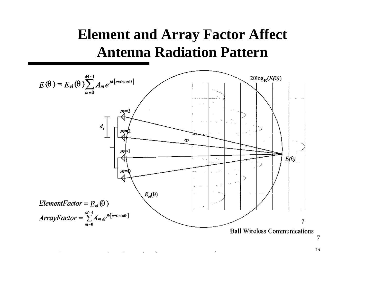### **Element and Array Factor Affect Antenna Radiation Pattern**



7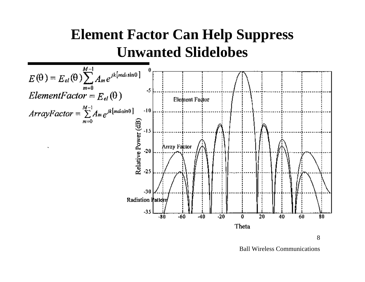### **Element Factor Can Help Suppress Unwanted Slidelobes**



Ball Wireless Communications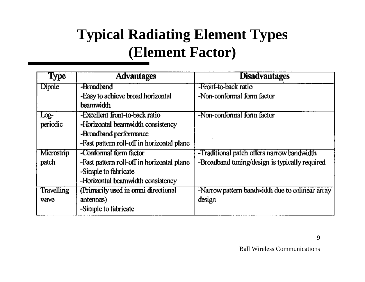## **Typical Radiating Element Types (Element Factor)**

| <b>Type</b>       | <b>Advantages</b>                              | <b>Disadvantages</b>                            |
|-------------------|------------------------------------------------|-------------------------------------------------|
| Dipole            | -Broadband                                     | -Front-to-back ratio                            |
|                   | -Easy to achieve broad horizontal<br>beamwidth | -Non-conformal form factor                      |
| $Log-$            | -Excellent front-to-back ratio                 | -Non-conformal form factor                      |
| periodic          | -Horizontal beamwidth consistency              |                                                 |
|                   | -Broadband performance                         |                                                 |
|                   | -Fast pattern roll-off in horizontal plane     |                                                 |
| Microstrip        | -Conformal form factor                         | -Traditional patch offers narrow bandwidth      |
| patch             | -Fast pattern roll-off in horizontal plane     | -Broadband tuning/design is typically required  |
|                   | -Simple to fabricate                           |                                                 |
|                   | -Horizontal beamwidth consistency              |                                                 |
| <b>Travelling</b> | (Primarily used in omni directional            | -Narrow pattern bandwidth due to colinear array |
| wave              | antennas)                                      | design                                          |
|                   | -Simple to fabricate                           |                                                 |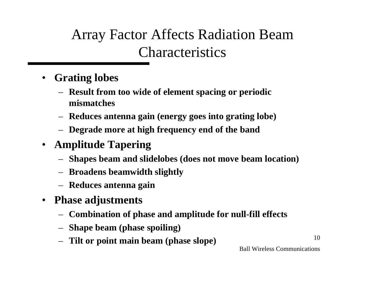Array Factor Affects Radiation Beam Characteristics

- **Grating lobes**
	- **Result from too wide of element spacing or periodic mismatches**
	- **Reduces antenna gain (energy goes into grating lobe)**
	- **Degrade more at high frequency end of the band**
- **Amplitude Tapering**
	- **Shapes beam and slidelobes (does not move beam location)**
	- **Broadens beamwidth slightly**
	- **Reduces antenna gain**
- **Phase adjustments**
	- **Combination of phase and amplitude for null-fill effects**
	- **Shape beam (phase spoiling)**
	- **Tilt or point main beam (phase slope)**

Ball Wireless Communications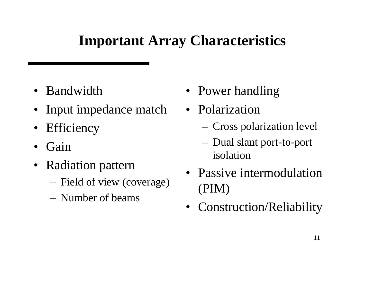### **Important Array Characteristics**

- Bandwidth
- Input impedance match
- Efficiency
- Gain
- Radiation pattern
	- Field of view (coverage)
	- Number of beams
- Power handling
- Polarization
	- Cross polarization level
	- Dual slant port-to-port isolation
- Passive intermodulation (PIM)
- Construction/Reliability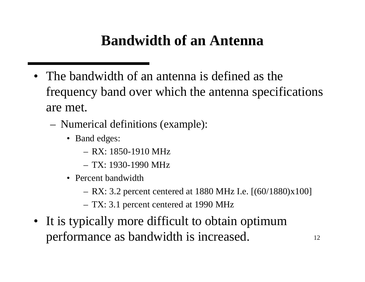### **Bandwidth of an Antenna**

- The bandwidth of an antenna is defined as the frequency band over which the antenna specifications are met.
	- Numerical definitions (example):
		- Band edges:
			- RX: 1850-1910 MHz
			- TX: 1930-1990 MHz
		- Percent bandwidth
			- RX: 3.2 percent centered at 1880 MHz I.e. [(60/1880)x100]
			- TX: 3.1 percent centered at 1990 MHz
- It is typically more difficult to obtain optimum performance as bandwidth is increased.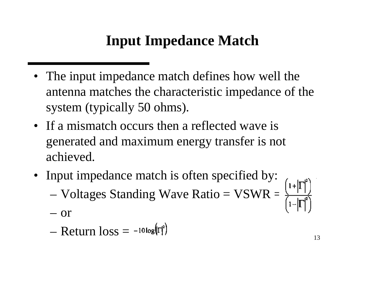### **Input Impedance Match**

- The input impedance match defines how well the antenna matches the characteristic impedance of the system (typically 50 ohms).
- If a mismatch occurs then a reflected wave is generated and maximum energy transfer is not achieved.
- Input impedance match is often specified by:
	- Voltages Standing Wave Ratio = VSWR =
	- or
	- $-$  Return  $\log_{10}$  =  $-10 \log_{10}$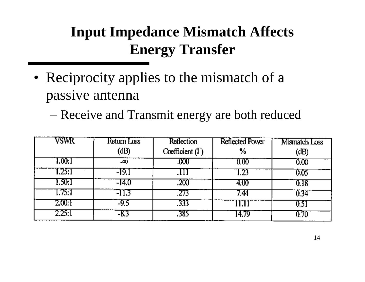## **Input Impedance Mismatch Affects Energy Transfer**

- Reciprocity applies to the mismatch of a passive antenna
	- Receive and Transmit energy are both reduced

| VSWR   | Return Loss | <b>Reflection</b>      | <b>Reflected Power</b> | Mismatch Loss |
|--------|-------------|------------------------|------------------------|---------------|
|        | (dB)        | Coefficient $(\Gamma)$ | %                      | (dB)          |
| 1,00.1 | -00         | .000                   | 0.00                   | 0.00          |
| 1.25.1 | -19.1       |                        | .23                    | 0.05          |
| 1.50:1 | -14.0       | .200                   | 4.00                   | 0.18          |
| 1.75:1 | $-11.3$     | .273                   | 774                    | 0.34          |
| 2.00:1 | -9.5        | .333                   | 11.11                  |               |
| 2.25:1 | -8.3        | .385                   | 14.79                  |               |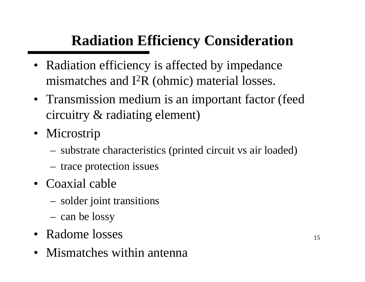## **Radiation Efficiency Consideration**

- Radiation efficiency is affected by impedance mismatches and I<sup>2</sup>R (ohmic) material losses.
- Transmission medium is an important factor (feed circuitry & radiating element)
- Microstrip
	- substrate characteristics (printed circuit vs air loaded)
	- trace protection issues
- Coaxial cable
	- solder joint transitions
	- can be lossy
- Radome losses
- Mismatches within antenna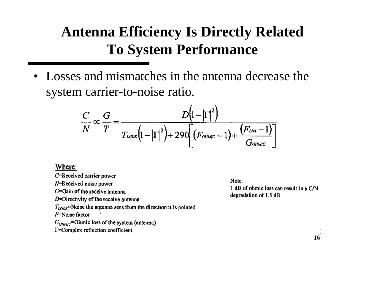### **Antenna Efficiency Is Directly Related To System Performance**

• Losses and mismatches in the antenna decrease the system carrier-to-noise ratio.

$$
\frac{C}{N} \propto \frac{G}{T} = \frac{D\left(1 - \left|\Gamma\right|^2\right)}{T_{\text{LOCK}}\left(1 - \left|\Gamma\right|^2\right) + 290\left(\left(F_{\text{OMMC}} - 1\right) + \frac{\left(F_{\text{DM}} - 1\right)}{G_{\text{OMMC}}}\right)}
$$

#### Where:

C=Received carrier power N=Received noise power G=Gain of the receive antenna  $D =$ Directivity of the receive antenna  $T_{LOOR}$ =Noise the antenna sees from the direction it is pointed F=Noise factor  $G_{OMMC}$ =Ohmic loss of the system (antenna) I=Complex reflection coefficient

Note: 1 dB of ohmic loss can result in a C/N degradation of 1.5 dB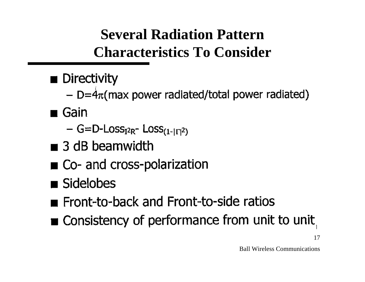## **Several Radiation Pattern Characteristics To Consider**

- $\blacksquare$  Directivity
	- $D = 4\pi$ (max power radiated/total power radiated)
- $\blacksquare$  Gain
	- $-$  G=D-Loss<sub>12R</sub>- Loss<sub>(1-1 $\Gamma$ 1<sup>2</sup>)</sub>
- $\blacksquare$  3 dB beamwidth
- Co- and cross-polarization
- Sidelobes
- Front-to-back and Front-to-side ratios
- Consistency of performance from unit to unit

17

Ball Wireless Communications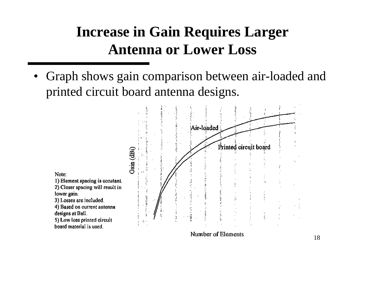### **Increase in Gain Requires Larger Antenna or Lower Loss**

• Graph shows gain comparison between air-loaded and printed circuit board antenna designs.

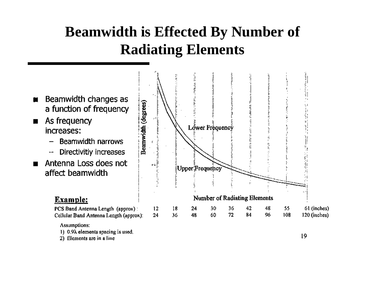### **Beamwidth is Effected By Number of Radiating Elements**



#### Assumptions:

- 1) 0.9 $\lambda$  elements spacing is used.
- 2) Elements are in a line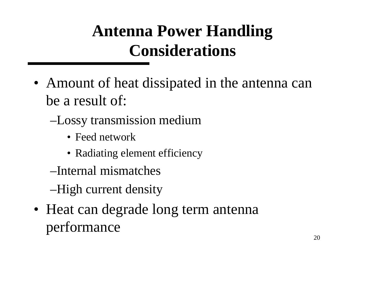# **Antenna Power Handling Considerations**

- Amount of heat dissipated in the antenna can be a result of:
	- –Lossy transmission medium
		- Feed network
		- Radiating element efficiency
	- –Internal mismatches
	- –High current density
- Heat can degrade long term antenna performance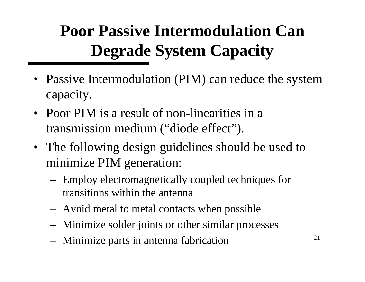# **Poor Passive Intermodulation Can Degrade System Capacity**

- Passive Intermodulation (PIM) can reduce the system capacity.
- Poor PIM is a result of non-linearities in a transmission medium ("diode effect").
- The following design guidelines should be used to minimize PIM generation:
	- Employ electromagnetically coupled techniques for transitions within the antenna
	- Avoid metal to metal contacts when possible
	- Minimize solder joints or other similar processes
	- Minimize parts in antenna fabrication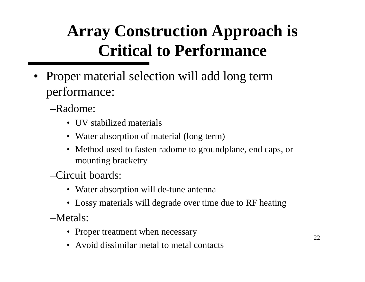# **Array Construction Approach is Critical to Performance**

• Proper material selection will add long term performance:

–Radome:

- **UV** stabilized materials
- Water absorption of material (long term)
- Method used to fasten radome to groundplane, end caps, or mounting bracketry

–Circuit boards:

- Water absorption will de-tune antenna
- Lossy materials will degrade over time due to RF heating

–Metals:

- Proper treatment when necessary
- Avoid dissimilar metal to metal contacts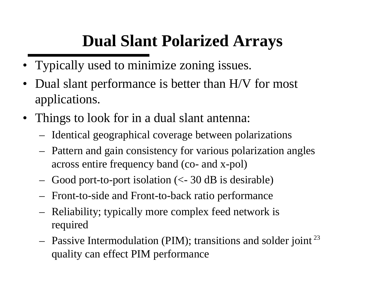## **Dual Slant Polarized Arrays**

- Typically used to minimize zoning issues.
- Dual slant performance is better than H/V for most applications.
- Things to look for in a dual slant antenna:
	- Identical geographical coverage between polarizations
	- Pattern and gain consistency for various polarization angles across entire frequency band (co- and x-pol)
	- Good port-to-port isolation (<- 30 dB is desirable)
	- Front-to-side and Front-to-back ratio performance
	- Reliability; typically more complex feed network is required
	- Passive Intermodulation (PIM); transitions and solder joint<sup>23</sup> quality can effect PIM performance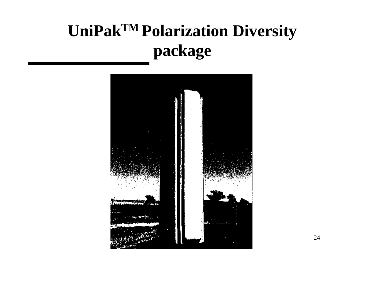# **UniPakTM Polarization Diversity package**

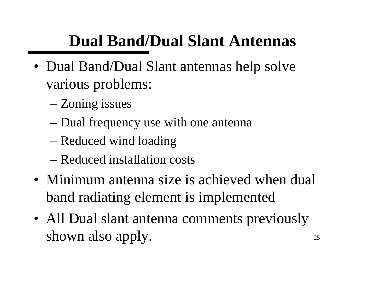# **Dual Band/Dual Slant Antennas**

- Dual Band/Dual Slant antennas help solve various problems:
	- Zoning issues
	- Dual frequency use with one antenna
	- Reduced wind loading
	- Reduced installation costs
- Minimum antenna size is achieved when dual band radiating element is implemented
- 25 • All Dual slant antenna comments previously shown also apply.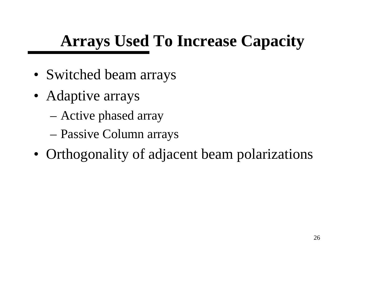# **Arrays Used To Increase Capacity**

- Switched beam arrays
- Adaptive arrays
	- Active phased array
	- Passive Column arrays
- Orthogonality of adjacent beam polarizations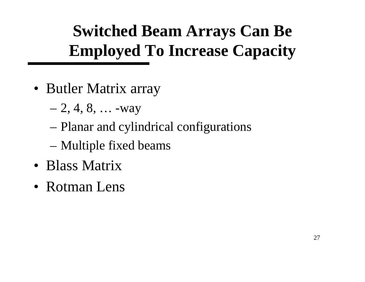# **Switched Beam Arrays Can Be Employed To Increase Capacity**

- Butler Matrix array
	- $-2, 4, 8, \ldots$  -way
	- Planar and cylindrical configurations
	- Multiple fixed beams
- Blass Matrix
- Rotman Lens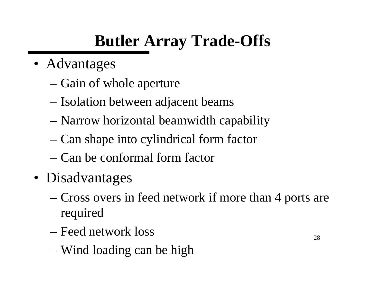# **Butler Array Trade-Offs**

- Advantages
	- Gain of whole aperture
	- Isolation between adjacent beams
	- Narrow horizontal beamwidth capability
	- Can shape into cylindrical form factor
	- Can be conformal form factor
- Disadvantages
	- Cross overs in feed network if more than 4 ports are required
	- Feed network loss
	- Wind loading can be high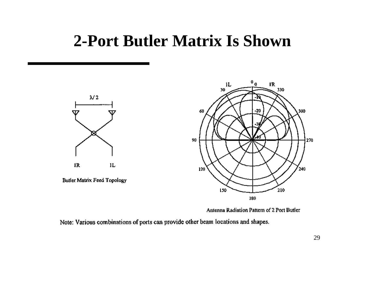### **2-Port Butler Matrix Is Shown**



**Butler Matrix Feed Topology** 



Antenna Radiation Pattern of 2 Port Butler

Note: Various combinations of ports can provide other beam locations and shapes.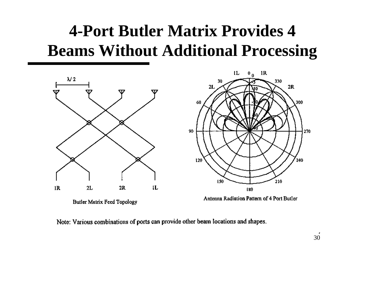## **4-Port Butler Matrix Provides 4 Beams Without Additional Processing**



Note: Various combinations of ports can provide other beam locations and shapes.

330

210

 $2R$ 

300

240

270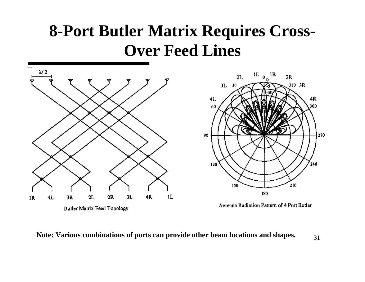## **8-Port Butler Matrix Requires Cross-Over Feed Lines**



31 **Note: Various combinations of ports can provide other beam locations and shapes.**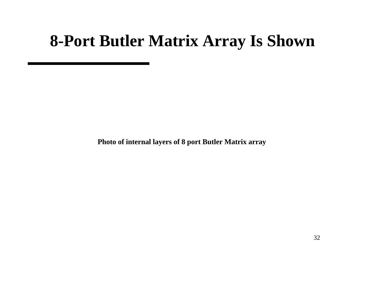### **8-Port Butler Matrix Array Is Shown**

**Photo of internal layers of 8 port Butler Matrix array**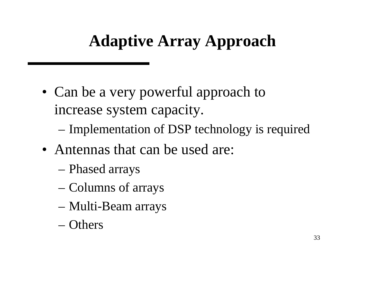## **Adaptive Array Approach**

- Can be a very powerful approach to increase system capacity.
	- Implementation of DSP technology is required
- Antennas that can be used are:
	- Phased arrays
	- Columns of arrays
	- Multi-Beam arrays
	- Others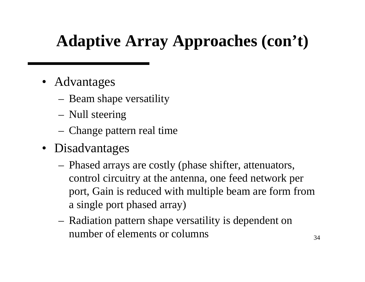# **Adaptive Array Approaches (con't)**

- Advantages
	- Beam shape versatility
	- Null steering
	- Change pattern real time
- Disadvantages
	- Phased arrays are costly (phase shifter, attenuators, control circuitry at the antenna, one feed network per port, Gain is reduced with multiple beam are form from a single port phased array)
	- Radiation pattern shape versatility is dependent on number of elements or columns